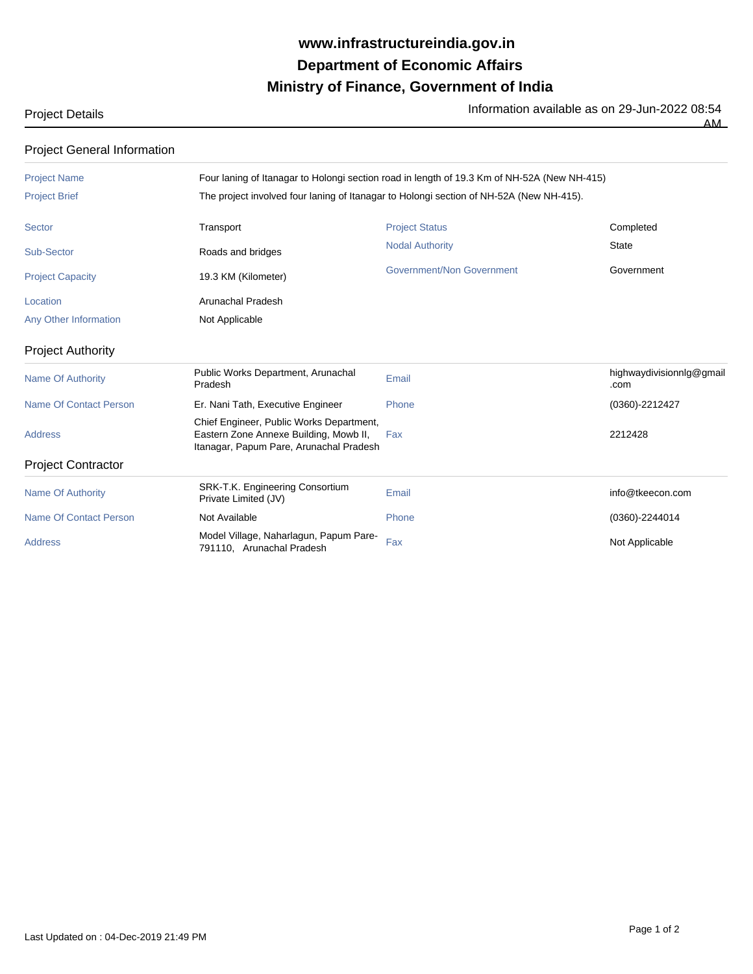## **Ministry of Finance, Government of India Department of Economic Affairs www.infrastructureindia.gov.in**

 $\overline{AM}$ 

Project Details **Information available as on 29-Jun-2022** 08:54

| <b>Project General Information</b> |                                                                                                                               |                                  |                                  |  |
|------------------------------------|-------------------------------------------------------------------------------------------------------------------------------|----------------------------------|----------------------------------|--|
| <b>Project Name</b>                | Four laning of Itanagar to Holongi section road in length of 19.3 Km of NH-52A (New NH-415)                                   |                                  |                                  |  |
| <b>Project Brief</b>               | The project involved four laning of Itanagar to Holongi section of NH-52A (New NH-415).                                       |                                  |                                  |  |
| Sector                             | Transport                                                                                                                     | <b>Project Status</b>            | Completed                        |  |
| Sub-Sector                         | Roads and bridges                                                                                                             | <b>Nodal Authority</b>           | <b>State</b>                     |  |
| <b>Project Capacity</b>            | 19.3 KM (Kilometer)                                                                                                           | <b>Government/Non Government</b> | Government                       |  |
| Location                           | <b>Arunachal Pradesh</b>                                                                                                      |                                  |                                  |  |
| Any Other Information              | Not Applicable                                                                                                                |                                  |                                  |  |
| <b>Project Authority</b>           |                                                                                                                               |                                  |                                  |  |
| <b>Name Of Authority</b>           | Public Works Department, Arunachal<br>Pradesh                                                                                 | Email                            | highwaydivisionnig@gmail<br>.com |  |
| <b>Name Of Contact Person</b>      | Er. Nani Tath, Executive Engineer                                                                                             | Phone                            | (0360)-2212427                   |  |
| <b>Address</b>                     | Chief Engineer, Public Works Department,<br>Eastern Zone Annexe Building, Mowb II,<br>Itanagar, Papum Pare, Arunachal Pradesh | Fax                              | 2212428                          |  |
| <b>Project Contractor</b>          |                                                                                                                               |                                  |                                  |  |
| <b>Name Of Authority</b>           | SRK-T.K. Engineering Consortium<br>Private Limited (JV)                                                                       | Email                            | info@tkeecon.com                 |  |
| <b>Name Of Contact Person</b>      | Not Available                                                                                                                 | Phone                            | $(0360) - 2244014$               |  |
| <b>Address</b>                     | Model Village, Naharlagun, Papum Pare-<br>791110. Arunachal Pradesh                                                           | Fax                              | Not Applicable                   |  |